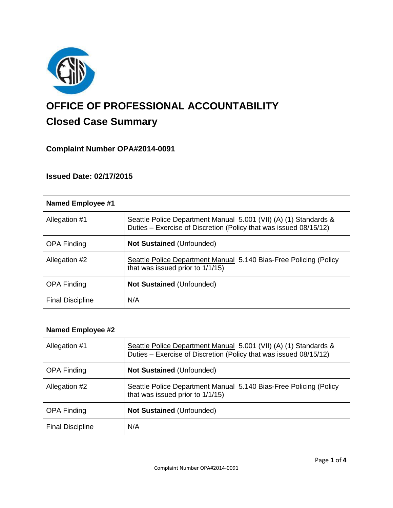

# **OFFICE OF PROFESSIONAL ACCOUNTABILITY Closed Case Summary**

# **Complaint Number OPA#2014-0091**

## **Issued Date: 02/17/2015**

| Named Employee #1       |                                                                                                                                       |
|-------------------------|---------------------------------------------------------------------------------------------------------------------------------------|
| Allegation #1           | Seattle Police Department Manual 5.001 (VII) (A) (1) Standards &<br>Duties – Exercise of Discretion (Policy that was issued 08/15/12) |
| <b>OPA Finding</b>      | <b>Not Sustained (Unfounded)</b>                                                                                                      |
| Allegation #2           | Seattle Police Department Manual 5.140 Bias-Free Policing (Policy<br>that was issued prior to 1/1/15)                                 |
| <b>OPA Finding</b>      | <b>Not Sustained (Unfounded)</b>                                                                                                      |
| <b>Final Discipline</b> | N/A                                                                                                                                   |

| Named Employee #2       |                                                                                                                                       |
|-------------------------|---------------------------------------------------------------------------------------------------------------------------------------|
| Allegation #1           | Seattle Police Department Manual 5.001 (VII) (A) (1) Standards &<br>Duties – Exercise of Discretion (Policy that was issued 08/15/12) |
| <b>OPA Finding</b>      | <b>Not Sustained (Unfounded)</b>                                                                                                      |
| Allegation #2           | Seattle Police Department Manual 5.140 Bias-Free Policing (Policy<br>that was issued prior to 1/1/15)                                 |
| <b>OPA Finding</b>      | <b>Not Sustained (Unfounded)</b>                                                                                                      |
| <b>Final Discipline</b> | N/A                                                                                                                                   |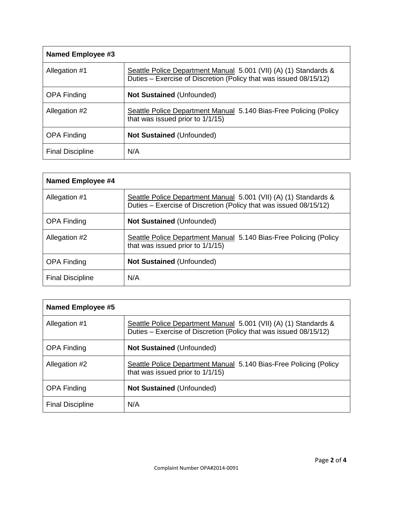| Named Employee #3       |                                                                                                                                       |
|-------------------------|---------------------------------------------------------------------------------------------------------------------------------------|
| Allegation #1           | Seattle Police Department Manual 5.001 (VII) (A) (1) Standards &<br>Duties – Exercise of Discretion (Policy that was issued 08/15/12) |
| <b>OPA Finding</b>      | <b>Not Sustained (Unfounded)</b>                                                                                                      |
| Allegation #2           | Seattle Police Department Manual 5.140 Bias-Free Policing (Policy<br>that was issued prior to 1/1/15)                                 |
| <b>OPA Finding</b>      | <b>Not Sustained (Unfounded)</b>                                                                                                      |
| <b>Final Discipline</b> | N/A                                                                                                                                   |

| <b>Named Employee #4</b> |                                                                                                                                       |
|--------------------------|---------------------------------------------------------------------------------------------------------------------------------------|
| Allegation #1            | Seattle Police Department Manual 5.001 (VII) (A) (1) Standards &<br>Duties – Exercise of Discretion (Policy that was issued 08/15/12) |
| <b>OPA Finding</b>       | <b>Not Sustained (Unfounded)</b>                                                                                                      |
| Allegation #2            | Seattle Police Department Manual 5.140 Bias-Free Policing (Policy<br>that was issued prior to 1/1/15)                                 |
| <b>OPA Finding</b>       | <b>Not Sustained (Unfounded)</b>                                                                                                      |
| <b>Final Discipline</b>  | N/A                                                                                                                                   |

| <b>Named Employee #5</b> |                                                                                                                                       |
|--------------------------|---------------------------------------------------------------------------------------------------------------------------------------|
| Allegation #1            | Seattle Police Department Manual 5.001 (VII) (A) (1) Standards &<br>Duties – Exercise of Discretion (Policy that was issued 08/15/12) |
| <b>OPA Finding</b>       | <b>Not Sustained (Unfounded)</b>                                                                                                      |
| Allegation #2            | Seattle Police Department Manual 5.140 Bias-Free Policing (Policy<br>that was issued prior to 1/1/15)                                 |
| <b>OPA Finding</b>       | <b>Not Sustained (Unfounded)</b>                                                                                                      |
| <b>Final Discipline</b>  | N/A                                                                                                                                   |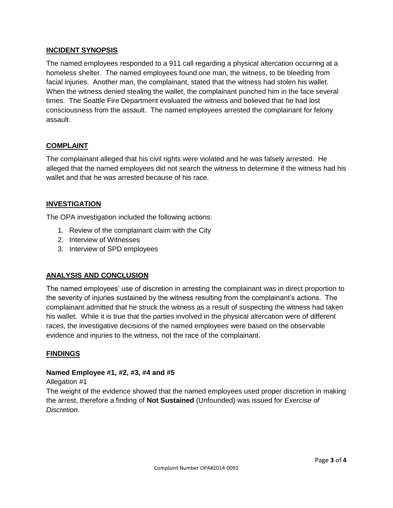### **INCIDENT SYNOPSIS**

The named employees responded to a 911 call regarding a physical altercation occurring at a homeless shelter. The named employees found one man, the witness, to be bleeding from facial injuries. Another man, the complainant, stated that the witness had stolen his wallet. When the witness denied stealing the wallet, the complainant punched him in the face several times. The Seattle Fire Department evaluated the witness and believed that he had lost consciousness from the assault. The named employees arrested the complainant for felony assault.

## **COMPLAINT**

The complainant alleged that his civil rights were violated and he was falsely arrested. He alleged that the named employees did not search the witness to determine if the witness had his wallet and that he was arrested because of his race.

### **INVESTIGATION**

The OPA investigation included the following actions:

- 1. Review of the complainant claim with the City
- 2. Interview of Witnesses
- 3. Interview of SPD employees

#### **ANALYSIS AND CONCLUSION**

The named employees' use of discretion in arresting the complainant was in direct proportion to the severity of injuries sustained by the witness resulting from the complainant's actions. The complainant admitted that he struck the witness as a result of suspecting the witness had taken his wallet. While it is true that the parties involved in the physical altercation were of different races, the investigative decisions of the named employees were based on the observable evidence and injuries to the witness, not the race of the complainant.

#### **FINDINGS**

#### **Named Employee #1, #2, #3, #4 and #5**

#### Allegation #1

The weight of the evidence showed that the named employees used proper discretion in making the arrest, therefore a finding of **Not Sustained** (Unfounded) was issued for *Exercise of Discretion*.